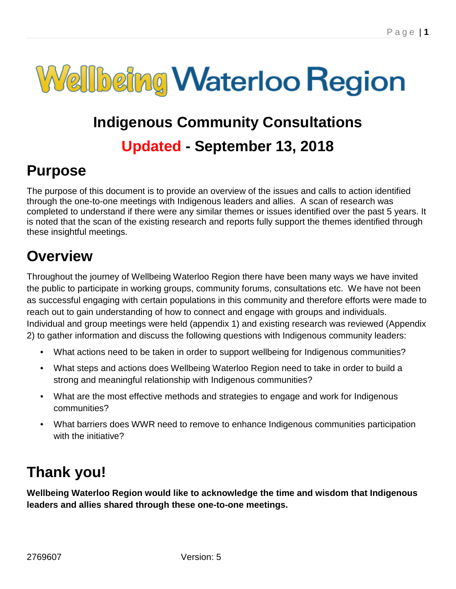

# **Indigenous Community Consultations Updated - September 13, 2018**

# **Purpose**

The purpose of this document is to provide an overview of the issues and calls to action identified through the one-to-one meetings with Indigenous leaders and allies. A scan of research was completed to understand if there were any similar themes or issues identified over the past 5 years. It is noted that the scan of the existing research and reports fully support the themes identified through these insightful meetings.

## **Overview**

Throughout the journey of Wellbeing Waterloo Region there have been many ways we have invited the public to participate in working groups, community forums, consultations etc. We have not been as successful engaging with certain populations in this community and therefore efforts were made to reach out to gain understanding of how to connect and engage with groups and individuals. Individual and group meetings were held (appendix 1) and existing research was reviewed (Appendix 2) to gather information and discuss the following questions with Indigenous community leaders:

- What actions need to be taken in order to support wellbeing for Indigenous communities?
- What steps and actions does Wellbeing Waterloo Region need to take in order to build a strong and meaningful relationship with Indigenous communities?
- What are the most effective methods and strategies to engage and work for Indigenous communities?
- What barriers does WWR need to remove to enhance Indigenous communities participation with the initiative?

## **Thank you!**

**Wellbeing Waterloo Region would like to acknowledge the time and wisdom that Indigenous leaders and allies shared through these one-to-one meetings.**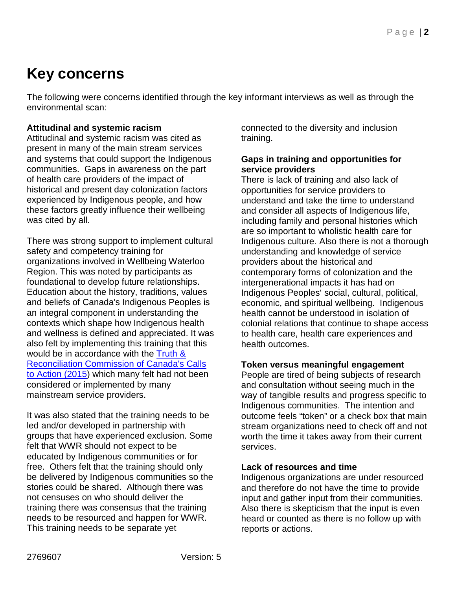# **Key concerns**

The following were concerns identified through the key informant interviews as well as through the environmental scan:

#### **Attitudinal and systemic racism**

Attitudinal and systemic racism was cited as present in many of the main stream services and systems that could support the Indigenous communities. Gaps in awareness on the part of health care providers of the impact of historical and present day colonization factors experienced by Indigenous people, and how these factors greatly influence their wellbeing was cited by all.

There was strong support to implement cultural safety and competency training for organizations involved in Wellbeing Waterloo Region. This was noted by participants as foundational to develop future relationships. Education about the history, traditions, values and beliefs of Canada's Indigenous Peoples is an integral component in understanding the contexts which shape how Indigenous health and wellness is defined and appreciated. It was also felt by implementing this training that this would be in accordance with the [Truth &](http://www.trc.ca/websites/trcinstitution/File/2015/Findings/Calls_to_Action_English2.pdf)  [Reconciliation Commission of Canada's Calls](http://www.trc.ca/websites/trcinstitution/File/2015/Findings/Calls_to_Action_English2.pdf)  [to Action \(2015\)](http://www.trc.ca/websites/trcinstitution/File/2015/Findings/Calls_to_Action_English2.pdf) which many felt had not been considered or implemented by many mainstream service providers.

It was also stated that the training needs to be led and/or developed in partnership with groups that have experienced exclusion. Some felt that WWR should not expect to be educated by Indigenous communities or for free. Others felt that the training should only be delivered by Indigenous communities so the stories could be shared. Although there was not censuses on who should deliver the training there was consensus that the training needs to be resourced and happen for WWR. This training needs to be separate yet

connected to the diversity and inclusion training.

#### **Gaps in training and opportunities for service providers**

There is lack of training and also lack of opportunities for service providers to understand and take the time to understand and consider all aspects of Indigenous life, including family and personal histories which are so important to wholistic health care for Indigenous culture. Also there is not a thorough understanding and knowledge of service providers about the historical and contemporary forms of colonization and the intergenerational impacts it has had on Indigenous Peoples' social, cultural, political, economic, and spiritual wellbeing. Indigenous health cannot be understood in isolation of colonial relations that continue to shape access to health care, health care experiences and health outcomes.

#### **Token versus meaningful engagement**

People are tired of being subjects of research and consultation without seeing much in the way of tangible results and progress specific to Indigenous communities. The intention and outcome feels "token" or a check box that main stream organizations need to check off and not worth the time it takes away from their current services.

#### **Lack of resources and time**

Indigenous organizations are under resourced and therefore do not have the time to provide input and gather input from their communities. Also there is skepticism that the input is even heard or counted as there is no follow up with reports or actions.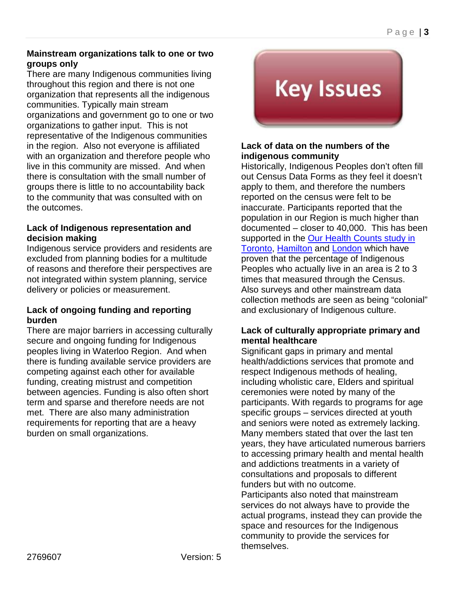#### **Mainstream organizations talk to one or two groups only**

There are many Indigenous communities living throughout this region and there is not one organization that represents all the indigenous communities. Typically main stream organizations and government go to one or two organizations to gather input. This is not representative of the Indigenous communities in the region. Also not everyone is affiliated with an organization and therefore people who live in this community are missed. And when there is consultation with the small number of groups there is little to no accountability back to the community that was consulted with on the outcomes.

#### **Lack of Indigenous representation and decision making**

Indigenous service providers and residents are excluded from planning bodies for a multitude of reasons and therefore their perspectives are not integrated within system planning, service delivery or policies or measurement.

#### **Lack of ongoing funding and reporting burden**

There are major barriers in accessing culturally secure and ongoing funding for Indigenous peoples living in Waterloo Region. And when there is funding available service providers are competing against each other for available funding, creating mistrust and competition between agencies. Funding is also often short term and sparse and therefore needs are not met. There are also many administration requirements for reporting that are a heavy burden on small organizations.

# **Key Issues**

#### **Lack of data on the numbers of the indigenous community**

Historically, Indigenous Peoples don't often fill out Census Data Forms as they feel it doesn't apply to them, and therefore the numbers reported on the census were felt to be inaccurate. Participants reported that the population in our Region is much higher than documented – closer to 40,000. This has been supported in the Our Health Counts study in [Toronto,](http://www.welllivinghouse.com/what-we-do/projects/our-health-counts-toronto/) [Hamilton](http://www.ourhealthcounts.ca/) and [London](http://soahac.on.ca/our-health-counts/) which have proven that the percentage of Indigenous Peoples who actually live in an area is 2 to 3 times that measured through the Census. Also surveys and other mainstream data collection methods are seen as being "colonial" and exclusionary of Indigenous culture.

#### **Lack of culturally appropriate primary and mental healthcare**

Significant gaps in primary and mental health/addictions services that promote and respect Indigenous methods of healing, including wholistic care, Elders and spiritual ceremonies were noted by many of the participants. With regards to programs for age specific groups – services directed at youth and seniors were noted as extremely lacking. Many members stated that over the last ten years, they have articulated numerous barriers to accessing primary health and mental health and addictions treatments in a variety of consultations and proposals to different funders but with no outcome. Participants also noted that mainstream

services do not always have to provide the actual programs, instead they can provide the space and resources for the Indigenous community to provide the services for themselves.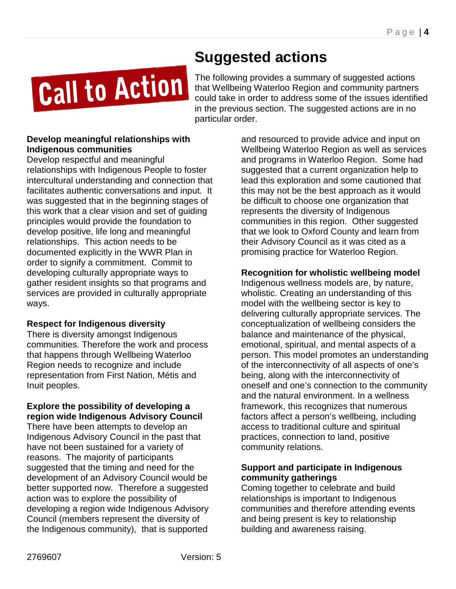# **Suggested actions**

Call to Action

The following provides a summary of suggested actions that Wellbeing Waterloo Region and community partners could take in order to address some of the issues identified in the previous section. The suggested actions are in no particular order.

#### **Develop meaningful relationships with Indigenous communities**

Develop respectful and meaningful relationships with Indigenous People to foster intercultural understanding and connection that facilitates authentic conversations and input. It was suggested that in the beginning stages of this work that a clear vision and set of guiding principles would provide the foundation to develop positive, life long and meaningful relationships. This action needs to be documented explicitly in the WWR Plan in order to signify a commitment. Commit to developing culturally appropriate ways to gather resident insights so that programs and services are provided in culturally appropriate ways.

#### **Respect for Indigenous diversity**

There is diversity amongst Indigenous communities. Therefore the work and process that happens through Wellbeing Waterloo Region needs to recognize and include representation from First Nation, Métis and Inuit peoples.

#### **Explore the possibility of developing a region wide Indigenous Advisory Council**

There have been attempts to develop an Indigenous Advisory Council in the past that have not been sustained for a variety of reasons. The majority of participants suggested that the timing and need for the development of an Advisory Council would be better supported now. Therefore a suggested action was to explore the possibility of developing a region wide Indigenous Advisory Council (members represent the diversity of the Indigenous community), that is supported

and resourced to provide advice and input on Wellbeing Waterloo Region as well as services and programs in Waterloo Region. Some had suggested that a current organization help to lead this exploration and some cautioned that this may not be the best approach as it would be difficult to choose one organization that represents the diversity of Indigenous communities in this region. Other suggested that we look to Oxford County and learn from their Advisory Council as it was cited as a promising practice for Waterloo Region.

#### **Recognition for wholistic wellbeing model**

Indigenous wellness models are, by nature, wholistic. Creating an understanding of this model with the wellbeing sector is key to delivering culturally appropriate services. The conceptualization of wellbeing considers the balance and maintenance of the physical, emotional, spiritual, and mental aspects of a person. This model promotes an understanding of the interconnectivity of all aspects of one's being, along with the interconnectivity of oneself and one's connection to the community and the natural environment. In a wellness framework, this recognizes that numerous factors affect a person's wellbeing, including access to traditional culture and spiritual practices, connection to land, positive community relations.

#### **Support and participate in Indigenous community gatherings**

Coming together to celebrate and build relationships is important to Indigenous communities and therefore attending events and being present is key to relationship building and awareness raising.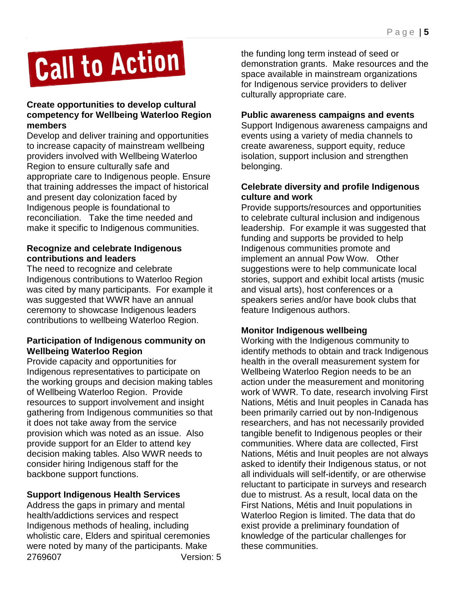# Call to Action

#### **Create opportunities to develop cultural competency for Wellbeing Waterloo Region members**

Develop and deliver training and opportunities to increase capacity of mainstream wellbeing providers involved with Wellbeing Waterloo Region to ensure culturally safe and appropriate care to Indigenous people. Ensure that training addresses the impact of historical and present day colonization faced by Indigenous people is foundational to reconciliation. Take the time needed and make it specific to Indigenous communities.

#### **Recognize and celebrate Indigenous contributions and leaders**

The need to recognize and celebrate Indigenous contributions to Waterloo Region was cited by many participants. For example it was suggested that WWR have an annual ceremony to showcase Indigenous leaders contributions to wellbeing Waterloo Region.

#### **Participation of Indigenous community on Wellbeing Waterloo Region**

Provide capacity and opportunities for Indigenous representatives to participate on the working groups and decision making tables of Wellbeing Waterloo Region. Provide resources to support involvement and insight gathering from Indigenous communities so that it does not take away from the service provision which was noted as an issue. Also provide support for an Elder to attend key decision making tables. Also WWR needs to consider hiring Indigenous staff for the backbone support functions.

#### **Support Indigenous Health Services**

Address the gaps in primary and mental health/addictions services and respect Indigenous methods of healing, including wholistic care, Elders and spiritual ceremonies were noted by many of the participants. Make 2769607 Version: 5 the funding long term instead of seed or demonstration grants. Make resources and the space available in mainstream organizations for Indigenous service providers to deliver culturally appropriate care.

#### **Public awareness campaigns and events**

Support Indigenous awareness campaigns and events using a variety of media channels to create awareness, support equity, reduce isolation, support inclusion and strengthen belonging.

#### **Celebrate diversity and profile Indigenous culture and work**

Provide supports/resources and opportunities to celebrate cultural inclusion and indigenous leadership. For example it was suggested that funding and supports be provided to help Indigenous communities promote and implement an annual Pow Wow. Other suggestions were to help communicate local stories, support and exhibit local artists (music and visual arts), host conferences or a speakers series and/or have book clubs that feature Indigenous authors.

#### **Monitor Indigenous wellbeing**

Working with the Indigenous community to identify methods to obtain and track Indigenous health in the overall measurement system for Wellbeing Waterloo Region needs to be an action under the measurement and monitoring work of WWR. To date, research involving First Nations, Métis and Inuit peoples in Canada has been primarily carried out by non-Indigenous researchers, and has not necessarily provided tangible benefit to Indigenous peoples or their communities. Where data are collected, First Nations, Métis and Inuit peoples are not always asked to identify their Indigenous status, or not all individuals will self-identify, or are otherwise reluctant to participate in surveys and research due to mistrust. As a result, local data on the First Nations, Métis and Inuit populations in Waterloo Region is limited. The data that do exist provide a preliminary foundation of knowledge of the particular challenges for these communities.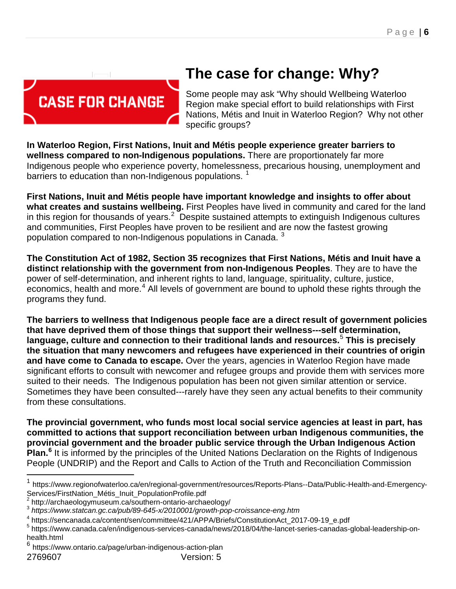

# **The case for change: Why?**

Some people may ask "Why should Wellbeing Waterloo Region make special effort to build relationships with First Nations, Métis and Inuit in Waterloo Region? Why not other specific groups?

**In Waterloo Region, First Nations, Inuit and Métis people experience greater barriers to wellness compared to non-Indigenous populations.** There are proportionately far more Indigenous people who experience poverty, homelessness, precarious housing, unemployment and barriers to education than non-Indigenous populations.  $1$ 

**First Nations, Inuit and Métis people have important knowledge and insights to offer about what creates and sustains wellbeing.** First Peoples have lived in community and cared for the land in this region for thousands of years.<sup>[2](#page-5-1)</sup> Despite sustained attempts to extinguish Indigenous cultures and communities, First Peoples have proven to be resilient and are now the fastest growing population compared to non-Indigenous populations in Canada.<sup>[3](#page-5-2)</sup>

**The Constitution Act of 1982, Section 35 recognizes that First Nations, Métis and Inuit have a distinct relationship with the government from non-Indigenous Peoples**. They are to have the power of self-determination, and inherent rights to land, language, spirituality, culture, justice, economics, health and more.<sup>[4](#page-5-3)</sup> All levels of government are bound to uphold these rights through the programs they fund.

**The barriers to wellness that Indigenous people face are a direct result of government policies that have deprived them of those things that support their wellness---self determination, language, culture and connection to their traditional lands and resources.**[5](#page-5-4) **This is precisely the situation that many newcomers and refugees have experienced in their countries of origin and have come to Canada to escape.** Over the years, agencies in Waterloo Region have made significant efforts to consult with newcomer and refugee groups and provide them with services more suited to their needs. The Indigenous population has been not given similar attention or service. Sometimes they have been consulted---rarely have they seen any actual benefits to their community from these consultations.

**The provincial government, who funds most local social service agencies at least in part, has committed to actions that support reconciliation between urban Indigenous communities, the provincial government and the broader public service through the Urban Indigenous Action Plan.[6](#page-5-5)** It is informed by the principles of the United Nations Declaration on the Rights of Indigenous People (UNDRIP) and the Report and Calls to Action of the Truth and Reconciliation Commission

 $\overline{\phantom{a}}$ 

<span id="page-5-0"></span><sup>1</sup> https://www.regionofwaterloo.ca/en/regional-government/resources/Reports-Plans--Data/Public-Health-and-Emergency-Services/FirstNation\_Métis\_Inuit\_PopulationProfile.pdf<br>
<sup>2</sup> http://archaeologymuseum.ca/southern-ontario-archaeology/<br>
<sup>3</sup> *https://www.statcan.gc.ca/pub/89-645-x/2010001/growth-pop-croissance-eng.htm*<br>
<sup>4</sup> https://sencana

<span id="page-5-1"></span>

<span id="page-5-2"></span>

<span id="page-5-3"></span>

<span id="page-5-4"></span><sup>&</sup>lt;sup>5</sup> https://www.canada.ca/en/indigenous-services-canada/news/2018/04/the-lancet-series-canadas-global-leadership-onhealth.html<br> $6$  https://ww

<span id="page-5-5"></span>https://www.ontario.ca/page/urban-indigenous-action-plan 2769607 Version: 5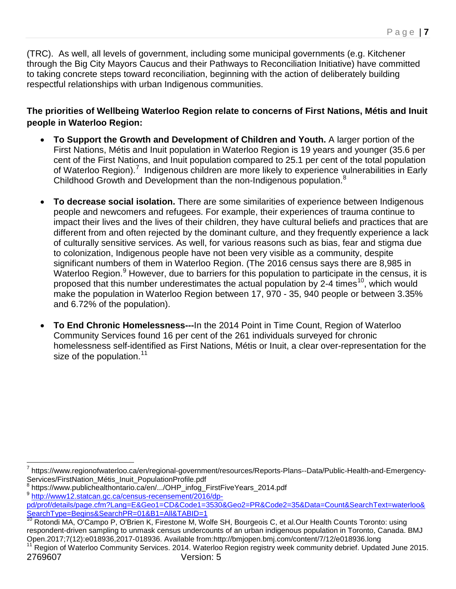(TRC). As well, all levels of government, including some municipal governments (e.g. Kitchener through the Big City Mayors Caucus and their Pathways to Reconciliation Initiative) have committed to taking concrete steps toward reconciliation, beginning with the action of deliberately building respectful relationships with urban Indigenous communities.

**The priorities of Wellbeing Waterloo Region relate to concerns of First Nations, Métis and Inuit people in Waterloo Region:** 

- **To Support the Growth and Development of Children and Youth.** A larger portion of the First Nations, Métis and Inuit population in Waterloo Region is 19 years and younger (35.6 per cent of the First Nations, and Inuit population compared to 25.1 per cent of the total population of Waterloo Region).<sup>[7](#page-6-0)</sup> Indigenous children are more likely to experience vulnerabilities in Early Childhood Growth and Development than the non-Indigenous population.<sup>[8](#page-6-1)</sup>
- **To decrease social isolation.** There are some similarities of experience between Indigenous people and newcomers and refugees. For example, their experiences of trauma continue to impact their lives and the lives of their children, they have cultural beliefs and practices that are different from and often rejected by the dominant culture, and they frequently experience a lack of culturally sensitive services. As well, for various reasons such as bias, fear and stigma due to colonization, Indigenous people have not been very visible as a community, despite significant numbers of them in Waterloo Region. (The 2016 census says there are 8,985 in Waterloo Region.<sup>[9](#page-6-2)</sup> However, due to barriers for this population to participate in the census, it is proposed that this number underestimates the actual population by 2-4 times<sup>[10](#page-6-3)</sup>, which would make the population in Waterloo Region between 17, 970 - 35, 940 people or between 3.35% and 6.72% of the population).
- **To End Chronic Homelessness---**In the 2014 Point in Time Count, Region of Waterloo Community Services found 16 per cent of the 261 individuals surveyed for chronic homelessness self-identified as First Nations, Métis or Inuit, a clear over-representation for the size of the population. $11$

<span id="page-6-0"></span><sup>&</sup>lt;sup>7</sup> https://www.regionofwaterloo.ca/en/regional-government/resources/Reports-Plans--Data/Public-Health-and-Emergency-<br>Services/FirstNation Métis Inuit PopulationProfile.pdf  $\overline{a}$ 

<span id="page-6-1"></span>https://www.publichealthontario.ca/en/.../OHP\_infog\_FirstFiveYears\_2014.pdf

<span id="page-6-2"></span><sup>9</sup> [http://www12.statcan.gc.ca/census-recensement/2016/dp-](http://www12.statcan.gc.ca/census-recensement/2016/dp-pd/prof/details/page.cfm?Lang=E&Geo1=CD&Code1=3530&Geo2=PR&Code2=35&Data=Count&SearchText=waterloo&SearchType=Begins&SearchPR=01&B1=All&TABID=1)

[pd/prof/details/page.cfm?Lang=E&Geo1=CD&Code1=3530&Geo2=PR&Code2=35&Data=Count&SearchText=waterloo&](http://www12.statcan.gc.ca/census-recensement/2016/dp-pd/prof/details/page.cfm?Lang=E&Geo1=CD&Code1=3530&Geo2=PR&Code2=35&Data=Count&SearchText=waterloo&SearchType=Begins&SearchPR=01&B1=All&TABID=1) [SearchType=Begins&SearchPR=01&B1=All&TABID=1](http://www12.statcan.gc.ca/census-recensement/2016/dp-pd/prof/details/page.cfm?Lang=E&Geo1=CD&Code1=3530&Geo2=PR&Code2=35&Data=Count&SearchText=waterloo&SearchType=Begins&SearchPR=01&B1=All&TABID=1)

<span id="page-6-3"></span><sup>10</sup> Rotondi MA, O'Campo P, O'Brien K, Firestone M, Wolfe SH, Bourgeois C, et al.Our Health Counts Toronto: using respondent-driven sampling to unmask census undercounts of an urban indigenous population in Toronto, Canada. BMJ<br>Open.2017;7(12):e018936,2017-018936. Available from:http://bmjopen.bmj.com/content/7/12/e018936.long

<span id="page-6-4"></span>Region of Waterloo Community Services. 2014. Waterloo Region registry week community debrief. Updated June 2015. 2769607 Version: 5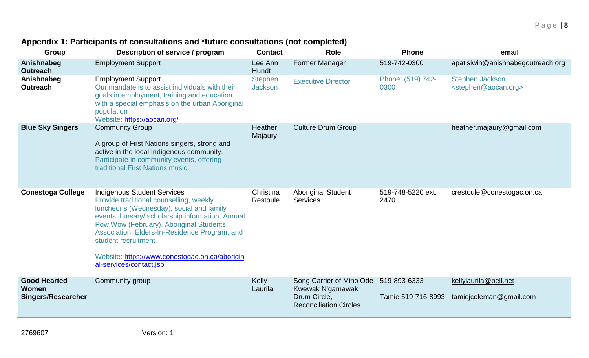| Appendix 1: Participants of consultations and *future consultations (not completed) |                                                                                                                                                                                                                                                                                                                                                                               |                                  |                                                                                               |                                    |                                                                   |
|-------------------------------------------------------------------------------------|-------------------------------------------------------------------------------------------------------------------------------------------------------------------------------------------------------------------------------------------------------------------------------------------------------------------------------------------------------------------------------|----------------------------------|-----------------------------------------------------------------------------------------------|------------------------------------|-------------------------------------------------------------------|
| Group                                                                               | Description of service / program                                                                                                                                                                                                                                                                                                                                              | <b>Contact</b>                   | <b>Role</b>                                                                                   | <b>Phone</b>                       | email                                                             |
| Anishnabeg<br><b>Outreach</b>                                                       | <b>Employment Support</b>                                                                                                                                                                                                                                                                                                                                                     | Lee Ann<br>Hundt                 | <b>Former Manager</b>                                                                         | 519-742-0300                       | apatisiwin@anishnabegoutreach.org                                 |
| Anishnabeg<br><b>Outreach</b>                                                       | <b>Employment Support</b><br>Our mandate is to assist individuals with their<br>goals in employment, training and education<br>with a special emphasis on the urban Aboriginal<br>population<br>Website: https://aocan.org/                                                                                                                                                   | <b>Stephen</b><br><b>Jackson</b> | <b>Executive Director</b>                                                                     | Phone: (519) 742-<br>0300          | <b>Stephen Jackson</b><br><stephen@aocan.org></stephen@aocan.org> |
| <b>Blue Sky Singers</b>                                                             | <b>Community Group</b><br>A group of First Nations singers, strong and<br>active in the local Indigenous community.<br>Participate in community events, offering<br>traditional First Nations music.                                                                                                                                                                          | <b>Heather</b><br>Majaury        | <b>Culture Drum Group</b>                                                                     |                                    | heather.majaury@gmail.com                                         |
| <b>Conestoga College</b>                                                            | <b>Indigenous Student Services</b><br>Provide traditional counselling, weekly<br>luncheons (Wednesday), social and family<br>events, bursary/ scholarship information, Annual<br>Pow Wow (February), Aboriginal Students<br>Association, Elders-In-Residence Program, and<br>student recruitment<br>Website: https://www.conestogac.on.ca/aborigin<br>al-services/contact.jsp | Christina<br>Restoule            | <b>Aboriginal Student</b><br><b>Services</b>                                                  | 519-748-5220 ext.<br>2470          | crestoule@conestogac.on.ca                                        |
| <b>Good Hearted</b><br>Women<br><b>Singers/Researcher</b>                           | Community group                                                                                                                                                                                                                                                                                                                                                               | Kelly<br>Laurila                 | Song Carrier of Mino Ode<br>Kwewak N'gamawak<br>Drum Circle,<br><b>Reconciliation Circles</b> | 519-893-6333<br>Tamie 519-716-8993 | kellylaurila@bell.net<br>tamiejcoleman@gmail.com                  |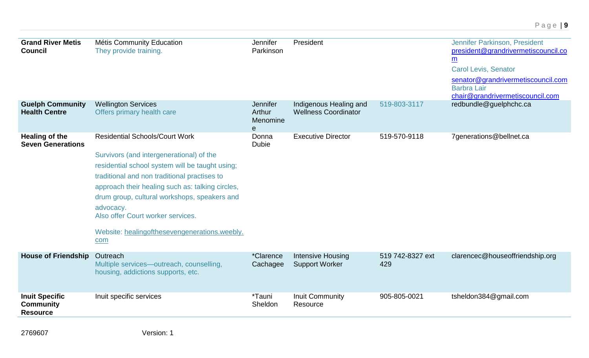| <b>Grand River Metis</b><br><b>Council</b>                   | Métis Community Education<br>They provide training.                                                                                                                                                                                                                                                                                                                                                | Jennifer<br>Parkinson                          | President                                             |                         | Jennifer Parkinson, President<br>president@grandrivermetiscouncil.co<br>$\underline{m}$<br><b>Carol Levis, Senator</b><br>senator@grandrivermetiscouncil.com<br><b>Barbra Lair</b><br>chair@grandrivermetiscouncil.com |
|--------------------------------------------------------------|----------------------------------------------------------------------------------------------------------------------------------------------------------------------------------------------------------------------------------------------------------------------------------------------------------------------------------------------------------------------------------------------------|------------------------------------------------|-------------------------------------------------------|-------------------------|------------------------------------------------------------------------------------------------------------------------------------------------------------------------------------------------------------------------|
| <b>Guelph Community</b><br><b>Health Centre</b>              | <b>Wellington Services</b><br>Offers primary health care                                                                                                                                                                                                                                                                                                                                           | Jennifer<br>Arthur<br>Menomine<br>$\mathbf{e}$ | Indigenous Healing and<br><b>Wellness Coordinator</b> | 519-803-3117            | redbundle@guelphchc.ca                                                                                                                                                                                                 |
| <b>Healing of the</b><br><b>Seven Generations</b>            | <b>Residential Schools/Court Work</b><br>Survivors (and intergenerational) of the<br>residential school system will be taught using;<br>traditional and non traditional practises to<br>approach their healing such as: talking circles,<br>drum group, cultural workshops, speakers and<br>advocacy.<br>Also offer Court worker services.<br>Website: healingofthesevengenerations.weebly.<br>com | Donna<br><b>Dubie</b>                          | <b>Executive Director</b>                             | 519-570-9118            | 7generations@bellnet.ca                                                                                                                                                                                                |
| <b>House of Friendship</b>                                   | Outreach<br>Multiple services-outreach, counselling,<br>housing, addictions supports, etc.                                                                                                                                                                                                                                                                                                         | <i>*Clarence</i><br>Cachagee                   | <b>Intensive Housing</b><br><b>Support Worker</b>     | 519 742-8327 ext<br>429 | clarencec@houseoffriendship.org                                                                                                                                                                                        |
| <b>Inuit Specific</b><br><b>Community</b><br><b>Resource</b> | Inuit specific services                                                                                                                                                                                                                                                                                                                                                                            | <i>*</i> Tauni<br>Sheldon                      | <b>Inuit Community</b><br>Resource                    | 905-805-0021            | tsheldon384@gmail.com                                                                                                                                                                                                  |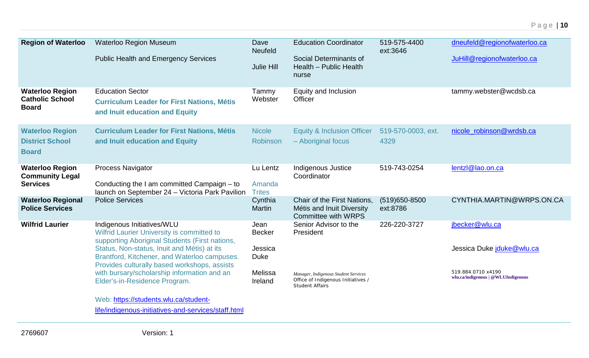| <b>Region of Waterloo</b>                                        | <b>Waterloo Region Museum</b>                                                                                                               | Dave<br><b>Neufeld</b>   | <b>Education Coordinator</b>                                                                         | 519-575-4400<br>ext:3646      | dneufeld@regionofwaterloo.ca                             |
|------------------------------------------------------------------|---------------------------------------------------------------------------------------------------------------------------------------------|--------------------------|------------------------------------------------------------------------------------------------------|-------------------------------|----------------------------------------------------------|
|                                                                  | <b>Public Health and Emergency Services</b>                                                                                                 | <b>Julie Hill</b>        | Social Determinants of<br>Health - Public Health<br>nurse                                            |                               | JuHill@regionofwaterloo.ca                               |
| <b>Waterloo Region</b><br><b>Catholic School</b><br><b>Board</b> | <b>Education Sector</b><br><b>Curriculum Leader for First Nations, Métis</b><br>and Inuit education and Equity                              | Tammy<br>Webster         | Equity and Inclusion<br>Officer                                                                      |                               | tammy.webster@wcdsb.ca                                   |
| <b>Waterloo Region</b>                                           | <b>Curriculum Leader for First Nations, Métis</b>                                                                                           | <b>Nicole</b>            | <b>Equity &amp; Inclusion Officer</b>                                                                | 519-570-0003, ext.            | nicole_robinson@wrdsb.ca                                 |
| <b>District School</b><br><b>Board</b>                           | and Inuit education and Equity                                                                                                              | Robinson                 | - Aboriginal focus                                                                                   | 4329                          |                                                          |
| <b>Waterloo Region</b>                                           | Process Navigator                                                                                                                           | Lu Lentz                 | Indigenous Justice                                                                                   | 519-743-0254                  | lentzl@lao.on.ca                                         |
| <b>Community Legal</b><br><b>Services</b>                        | Conducting the I am committed Campaign - to<br>launch on September 24 - Victoria Park Pavilion                                              | Amanda<br><b>Trites</b>  | Coordinator                                                                                          |                               |                                                          |
| <b>Waterloo Regional</b><br><b>Police Services</b>               | <b>Police Services</b>                                                                                                                      | Cynthia<br><b>Martin</b> | Chair of the First Nations,<br>Métis and Inuit Diversity<br><b>Committee with WRPS</b>               | $(519)650 - 8500$<br>ext:8786 | CYNTHIA.MARTIN@WRPS.ON.CA                                |
| <b>Wilfrid Laurier</b>                                           | Indigenous Initiatives/WLU<br>Wilfrid Laurier University is committed to<br>supporting Aboriginal Students (First nations,                  | Jean<br><b>Becker</b>    | Senior Advisor to the<br>President                                                                   | 226-220-3727                  | jbecker@wlu.ca                                           |
|                                                                  | Status, Non-status, Inuit and Métis) at its<br>Brantford, Kitchener, and Waterloo campuses.<br>Provides culturally based workshops, assists | Jessica<br><b>Duke</b>   |                                                                                                      |                               | Jessica Duke jduke@wlu.ca                                |
|                                                                  | with bursary/scholarship information and an<br>Elder's-in-Residence Program.                                                                | Melissa<br>Ireland       | Manager, Indigenous Student Services<br>Office of Indigenous Initiatives /<br><b>Student Affairs</b> |                               | 519.884.0710 x4190<br>wlu.ca/indigenous   @WLUIndigenous |
|                                                                  | Web: https://students.wlu.ca/student-                                                                                                       |                          |                                                                                                      |                               |                                                          |
|                                                                  | life/indigenous-initiatives-and-services/staff.html                                                                                         |                          |                                                                                                      |                               |                                                          |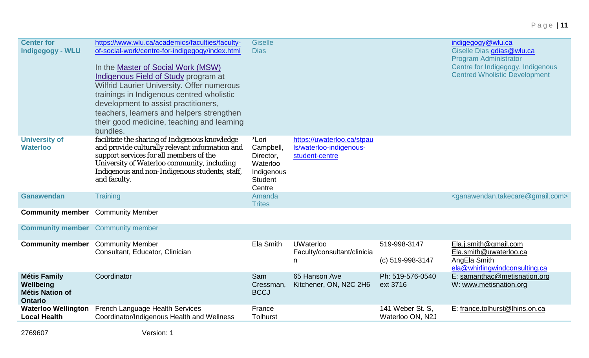| <b>Center for</b><br><b>Indigegogy - WLU</b>                                 | https://www.wlu.ca/academics/faculties/faculty-<br>of-social-work/centre-for-indigegogy/index.html<br>In the Master of Social Work (MSW)<br><b>Indigenous Field of Study program at</b><br><b>Wilfrid Laurier University. Offer numerous</b><br>trainings in Indigenous centred wholistic<br>development to assist practitioners,<br>teachers, learners and helpers strengthen<br>their good medicine, teaching and learning<br>bundles. | <b>Giselle</b><br><b>Dias</b>                                                         |                                                                         |                                      | indigegogy@wlu.ca<br>Giselle Dias gdias@wlu.ca<br><b>Program Administrator</b><br>Centre for Indigegogy. Indigenous<br><b>Centred Wholistic Development</b> |
|------------------------------------------------------------------------------|------------------------------------------------------------------------------------------------------------------------------------------------------------------------------------------------------------------------------------------------------------------------------------------------------------------------------------------------------------------------------------------------------------------------------------------|---------------------------------------------------------------------------------------|-------------------------------------------------------------------------|--------------------------------------|-------------------------------------------------------------------------------------------------------------------------------------------------------------|
| <b>University of</b><br><b>Waterloo</b>                                      | facilitate the sharing of Indigenous knowledge<br>and provide culturally relevant information and<br>support services for all members of the<br>University of Waterloo community, including<br>Indigenous and non-Indigenous students, staff,<br>and faculty.                                                                                                                                                                            | *Lori<br>Campbell,<br>Director,<br>Waterloo<br>Indigenous<br><b>Student</b><br>Centre | https://uwaterloo.ca/stpau<br>Is/waterloo-indigenous-<br>student-centre |                                      |                                                                                                                                                             |
| <b>Ganawendan</b>                                                            | <b>Training</b>                                                                                                                                                                                                                                                                                                                                                                                                                          | Amanda<br><b>Trites</b>                                                               |                                                                         |                                      | <ganawendan.takecare@gmail.com></ganawendan.takecare@gmail.com>                                                                                             |
| <b>Community member</b>                                                      | <b>Community Member</b>                                                                                                                                                                                                                                                                                                                                                                                                                  |                                                                                       |                                                                         |                                      |                                                                                                                                                             |
| <b>Community member</b> Community member                                     |                                                                                                                                                                                                                                                                                                                                                                                                                                          |                                                                                       |                                                                         |                                      |                                                                                                                                                             |
| <b>Community member</b>                                                      | <b>Community Member</b><br>Consultant, Educator, Clinician                                                                                                                                                                                                                                                                                                                                                                               | Ela Smith                                                                             | <b>UWaterloo</b><br>Faculty/consultant/clinicia<br>n                    | 519-998-3147<br>(c) 519-998-3147     | Ela.j.smith@gmail.com<br>Ela.smith@uwaterloo.ca<br>AngEla Smith<br>ela@whirlingwindconsulting.ca                                                            |
| <b>Métis Family</b><br>Wellbeing<br><b>Métis Nation of</b><br><b>Ontario</b> | Coordinator                                                                                                                                                                                                                                                                                                                                                                                                                              | Sam<br>Cressman,<br><b>BCCJ</b>                                                       | 65 Hanson Ave<br>Kitchener, ON, N2C 2H6                                 | Ph: 519-576-0540<br>ext 3716         | E: samanthac@metisnation.org<br>W: www.metisnation.org                                                                                                      |
| <b>Waterloo Wellington</b><br><b>Local Health</b>                            | French Language Health Services<br>Coordinator/Indigenous Health and Wellness                                                                                                                                                                                                                                                                                                                                                            | France<br><b>Tolhurst</b>                                                             |                                                                         | 141 Weber St. S,<br>Waterloo ON, N2J | E: france.tolhurst@lhins.on.ca                                                                                                                              |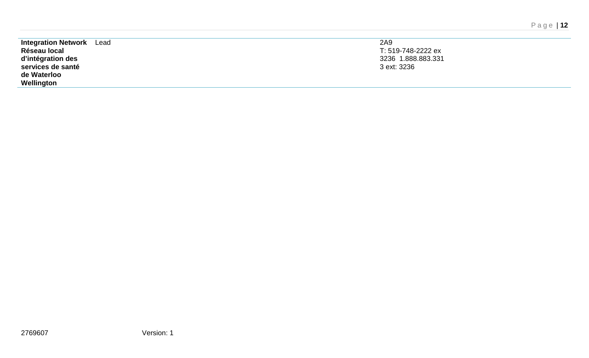| <b>Integration Network</b> Lead | 2A9                |
|---------------------------------|--------------------|
| Réseau local                    | T: 519-748-2222 ex |
| d'intégration des               | 3236 1.888.883.331 |
| services de santé               | 3 ext: 3236        |
| de Waterloo                     |                    |
| Wellington                      |                    |
|                                 |                    |